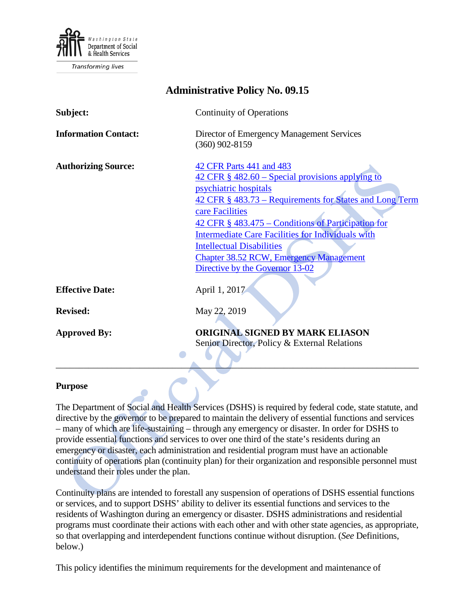

**Transforming lives** 

| <b>Administrative Policy No. 09.15</b> |                                                                                                                                                                                                                                                                                                                                                                                                                                     |
|----------------------------------------|-------------------------------------------------------------------------------------------------------------------------------------------------------------------------------------------------------------------------------------------------------------------------------------------------------------------------------------------------------------------------------------------------------------------------------------|
| Subject:                               | <b>Continuity of Operations</b>                                                                                                                                                                                                                                                                                                                                                                                                     |
| <b>Information Contact:</b>            | Director of Emergency Management Services<br>$(360)$ 902-8159                                                                                                                                                                                                                                                                                                                                                                       |
| <b>Authorizing Source:</b>             | 42 CFR Parts 441 and 483<br>$42$ CFR $\S$ 482.60 – Special provisions applying to<br>psychiatric hospitals<br>42 CFR § 483.73 – Requirements for States and Long Term<br>care Facilities<br>42 CFR § 483.475 – Conditions of Participation for<br><b>Intermediate Care Facilities for Individuals with</b><br><b>Intellectual Disabilities</b><br><b>Chapter 38.52 RCW, Emergency Management</b><br>Directive by the Governor 13-02 |
| <b>Effective Date:</b>                 | April 1, 2017                                                                                                                                                                                                                                                                                                                                                                                                                       |
| <b>Revised:</b>                        | May 22, 2019                                                                                                                                                                                                                                                                                                                                                                                                                        |
| <b>Approved By:</b>                    | <b>ORIGINAL SIGNED BY MARK ELIASON</b><br>Senior Director, Policy & External Relations                                                                                                                                                                                                                                                                                                                                              |

#### **Purpose**

The Department of Social and Health Services (DSHS) is required by federal code, state statute, and directive by the governor to be prepared to maintain the delivery of essential functions and services – many of which are life-sustaining – through any emergency or disaster. In order for DSHS to provide essential functions and services to over one third of the state's residents during an emergency or disaster, each administration and residential program must have an actionable continuity of operations plan (continuity plan) for their organization and responsible personnel must understand their roles under the plan.

Continuity plans are intended to forestall any suspension of operations of DSHS essential functions or services, and to support DSHS' ability to deliver its essential functions and services to the residents of Washington during an emergency or disaster. DSHS administrations and residential programs must coordinate their actions with each other and with other state agencies, as appropriate, so that overlapping and interdependent functions continue without disruption. (*See* Definitions, below.)

This policy identifies the minimum requirements for the development and maintenance of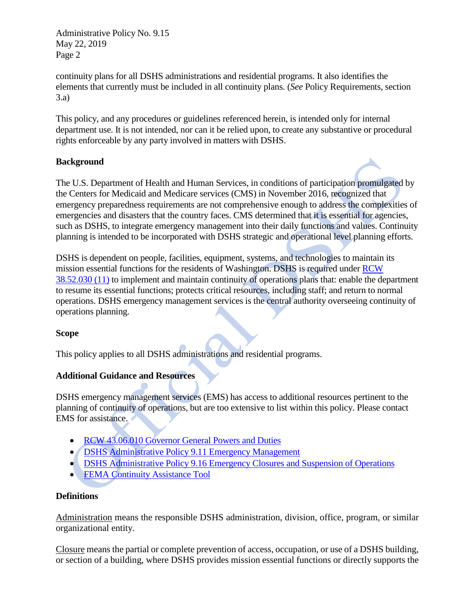continuity plans for all DSHS administrations and residential programs. It also identifies the elements that currently must be included in all continuity plans. (*See* Policy Requirements, section 3.a)

This policy, and any procedures or guidelines referenced herein, is intended only for internal department use. It is not intended, nor can it be relied upon, to create any substantive or procedural rights enforceable by any party involved in matters with DSHS.

# **Background**

The U.S. Department of Health and Human Services, in conditions of participation promulgated by the Centers for Medicaid and Medicare services (CMS) in November 2016, recognized that emergency preparedness requirements are not comprehensive enough to address the complexities of emergencies and disasters that the country faces. CMS determined that it is essential for agencies, such as DSHS, to integrate emergency management into their daily functions and values. Continuity planning is intended to be incorporated with DSHS strategic and operational level planning efforts.

DSHS is dependent on people, facilities, equipment, systems, and technologies to maintain its mission essential functions for the residents of Washington. DSHS is required under [RCW](http://app.leg.wa.gov/RCW/default.aspx?cite=38.52.030)  [38.52.030 \(11\)](http://app.leg.wa.gov/RCW/default.aspx?cite=38.52.030) to implement and maintain continuity of operations plans that: enable the department to resume its essential functions; protects critical resources, including staff; and return to normal operations. DSHS emergency management services is the central authority overseeing continuity of operations planning.

## **Scope**

This policy applies to all DSHS administrations and residential programs.

## **Additional Guidance and Resources**

DSHS emergency management services (EMS) has access to additional resources pertinent to the planning of continuity of operations, but are too extensive to list within this policy. Please contact EMS for assistance.

- [RCW 43.06.010 Governor General Powers and Duties](http://apps.leg.wa.gov/RCW/default.aspx?cite=43.06.010)
- **[DSHS Administrative Policy 9.11 Emergency Management](http://one.dshs.wa.lcl/Policies/Administrative/DSHS-AP-09-11.pdf)**
- **[DSHS Administrative Policy 9.16 Emergency Closures and Suspension of Operations](http://one.dshs.wa.lcl/Policies/Administrative/DSHS-AP-09-16.pdf)**
- **[FEMA Continuity Assistance Tool](https://www.fema.gov/media-library/assets/documents/158679)**

## **Definitions**

Administration means the responsible DSHS administration, division, office, program, or similar organizational entity.

Closure means the partial or complete prevention of access, occupation, or use of a DSHS building, or section of a building, where DSHS provides mission essential functions or directly supports the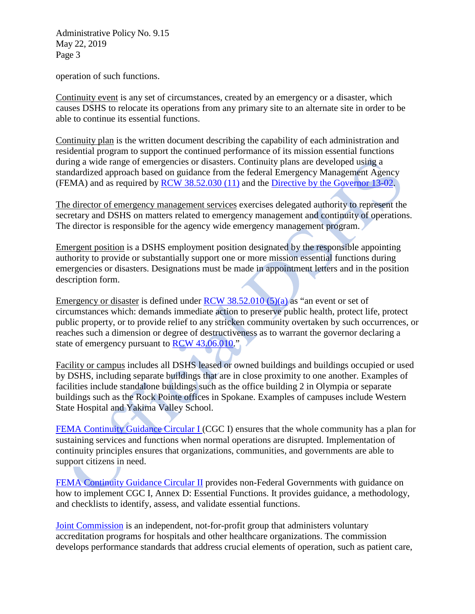operation of such functions.

Continuity event is any set of circumstances, created by an emergency or a disaster, which causes DSHS to relocate its operations from any primary site to an alternate site in order to be able to continue its essential functions.

Continuity plan is the written document describing the capability of each administration and residential program to support the continued performance of its mission essential functions during a wide range of emergencies or disasters. Continuity plans are developed using a standardized approach based on guidance from the federal Emergency Management Agency (FEMA) and as required by [RCW 38.52.030 \(11\)](http://app.leg.wa.gov/RCW/default.aspx?cite=38.52&full=true#38.52.030) and the [Directive by the Governor 13-02.](http://www.governor.wa.gov/sites/default/files/directive/dir_13-02.pdf)

The director of emergency management services exercises delegated authority to represent the secretary and DSHS on matters related to emergency management and continuity of operations. The director is responsible for the agency wide emergency management program.

Emergent position is a DSHS employment position designated by the responsible appointing authority to provide or substantially support one or more mission essential functions during emergencies or disasters. Designations must be made in appointment letters and in the position description form.

Emergency or disaster is defined under  $RCW$  38.52.010 (5)(a) as "an event or set of circumstances which: demands immediate action to preserve public health, protect life, protect public property, or to provide relief to any stricken community overtaken by such occurrences, or reaches such a dimension or degree of destructiveness as to warrant the governor declaring a state of emergency pursuant to [RCW 43.06.010.](https://apps.leg.wa.gov/RCW/default.aspx?cite=43.06.010)"

Facility or campus includes all DSHS leased or owned buildings and buildings occupied or used by DSHS, including separate buildings that are in close proximity to one another. Examples of facilities include standalone buildings such as the office building 2 in Olympia or separate buildings such as the Rock Pointe offices in Spokane. Examples of campuses include Western State Hospital and Yakima Valley School.

[FEMA Continuity Guidance Circular I](https://www.fema.gov/pdf/about/org/ncp/coop/continuity_guidance_circular.pdf) (CGC I) ensures that the whole community has a plan for sustaining services and functions when normal operations are disrupted. Implementation of continuity principles ensures that organizations, communities, and governments are able to support citizens in need.

[FEMA Continuity Guidance Circular II](https://www.fema.gov/media-library-data/1384435934615-7eeac7d0b4f189839f396a3c64eeac7a/Continuity+Guidance+Circular+2.pdf) provides non-Federal Governments with guidance on how to implement CGC I, Annex D: Essential Functions. It provides guidance, a methodology, and checklists to identify, assess, and validate essential functions.

[Joint Commission](https://www.jointcommission.org/about_us/about_the_joint_commission_main.aspx) is an independent, not-for-profit group that administers voluntary accreditation programs for hospitals and other healthcare organizations. The commission develops performance standards that address crucial elements of operation, such as patient care,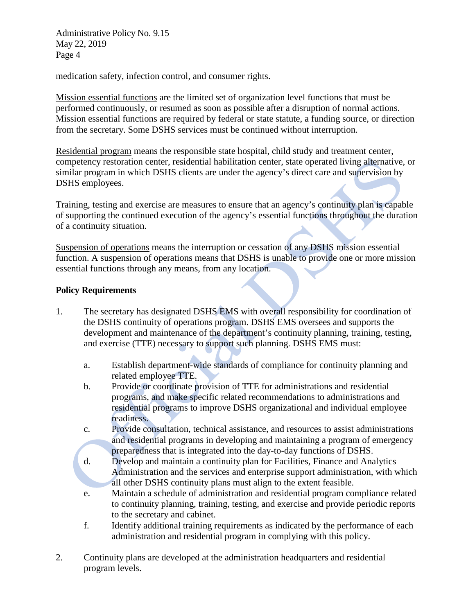medication safety, infection control, and consumer rights.

Mission essential functions are the limited set of organization level functions that must be performed continuously, or resumed as soon as possible after a disruption of normal actions. Mission essential functions are required by federal or state statute, a funding source, or direction from the secretary. Some DSHS services must be continued without interruption.

Residential program means the responsible state hospital, child study and treatment center, competency restoration center, residential habilitation center, state operated living alternative, or similar program in which DSHS clients are under the agency's direct care and supervision by DSHS employees.

Training, testing and exercise are measures to ensure that an agency's continuity plan is capable of supporting the continued execution of the agency's essential functions throughout the duration of a continuity situation.

Suspension of operations means the interruption or cessation of any DSHS mission essential function. A suspension of operations means that DSHS is unable to provide one or more mission essential functions through any means, from any location.

#### **Policy Requirements**

- 1. The secretary has designated DSHS EMS with overall responsibility for coordination of the DSHS continuity of operations program. DSHS EMS oversees and supports the development and maintenance of the department's continuity planning, training, testing, and exercise (TTE) necessary to support such planning. DSHS EMS must:
	- a. Establish department-wide standards of compliance for continuity planning and related employee TTE.
	- b. Provide or coordinate provision of TTE for administrations and residential programs, and make specific related recommendations to administrations and residential programs to improve DSHS organizational and individual employee readiness.
	- c. Provide consultation, technical assistance, and resources to assist administrations and residential programs in developing and maintaining a program of emergency preparedness that is integrated into the day-to-day functions of DSHS.
	- d. Develop and maintain a continuity plan for Facilities, Finance and Analytics Administration and the services and enterprise support administration, with which all other DSHS continuity plans must align to the extent feasible.
	- e. Maintain a schedule of administration and residential program compliance related to continuity planning, training, testing, and exercise and provide periodic reports to the secretary and cabinet.
	- f. Identify additional training requirements as indicated by the performance of each administration and residential program in complying with this policy.
- 2. Continuity plans are developed at the administration headquarters and residential program levels.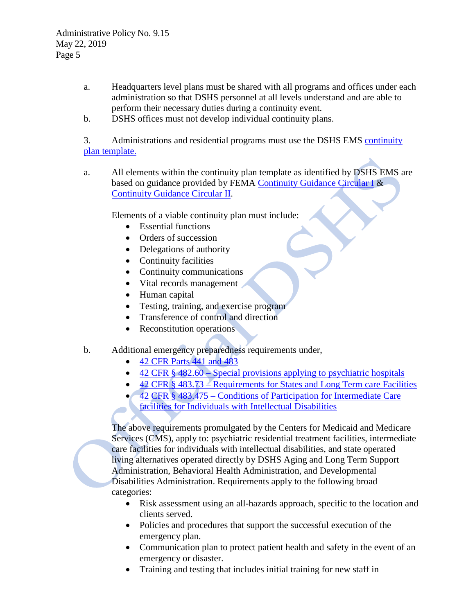- a. Headquarters level plans must be shared with all programs and offices under each administration so that DSHS personnel at all levels understand and are able to perform their necessary duties during a continuity event.
- b. DSHS offices must not develop individual continuity plans.

3. Administrations and residential programs must use the DSHS EMS continuity plan [template.](http://one.dshs.wa.lcl/EM/Continuity/Pages/default.aspx)

a. All elements within the continuity plan template as identified by DSHS EMS are based on guidance provided by FEMA [Continuity Guidance Circular](https://www.fema.gov/pdf/about/org/ncp/coop/continuity_guidance_circular.pdf) I & [Continuity Guidance Circular](https://www.fema.gov/media-library-data/1384435934615-7eeac7d0b4f189839f396a3c64eeac7a/Continuity+Guidance+Circular+2.pdf) II.

Elements of a viable continuity plan must include:

- Essential functions
- Orders of succession
- Delegations of authority
- Continuity facilities
- Continuity communications
- Vital records management
- Human capital
- Testing, training, and exercise program
- Transference of control and direction
- Reconstitution operations
- b. Additional emergency preparedness requirements under,
	- [42 CFR Parts 441 and 483](https://www.gpo.gov/fdsys/pkg/FR-2016-09-16/pdf/2016-21404.pdf)
	- 42 CFR § 482.60 [Special provisions applying to psychiatric hospitals](https://www.cms.gov/Medicare/Provider-Enrollment-and-Certification/CertificationandComplianc/PsychHospitals.html)
	- 42 CFR § 483.73 [Requirements for States and Long Term care Facilities](https://www.cms.gov/Regulations-and-Guidance/Legislation/CFCsAndCoPs/LTC.html)
	- 42 CFR § 483.475 [Conditions of Participation for Intermediate Care](https://www.cms.gov/Regulations-and-Guidance/Legislation/CFCsAndCoPs/Intermediate-Care-Facilities-for-Individuals-with-Intellectual-Disabilities-ICF-IID.html)  [facilities for Individuals with Intellectual Disabilities](https://www.cms.gov/Regulations-and-Guidance/Legislation/CFCsAndCoPs/Intermediate-Care-Facilities-for-Individuals-with-Intellectual-Disabilities-ICF-IID.html)

The above requirements promulgated by the Centers for Medicaid and Medicare Services (CMS), apply to: psychiatric residential treatment facilities, intermediate care facilities for individuals with intellectual disabilities, and state operated living alternatives operated directly by DSHS Aging and Long Term Support Administration, Behavioral Health Administration, and Developmental Disabilities Administration. Requirements apply to the following broad categories:

- Risk assessment using an all-hazards approach, specific to the location and clients served.
- Policies and procedures that support the successful execution of the emergency plan.
- Communication plan to protect patient health and safety in the event of an emergency or disaster.
- Training and testing that includes initial training for new staff in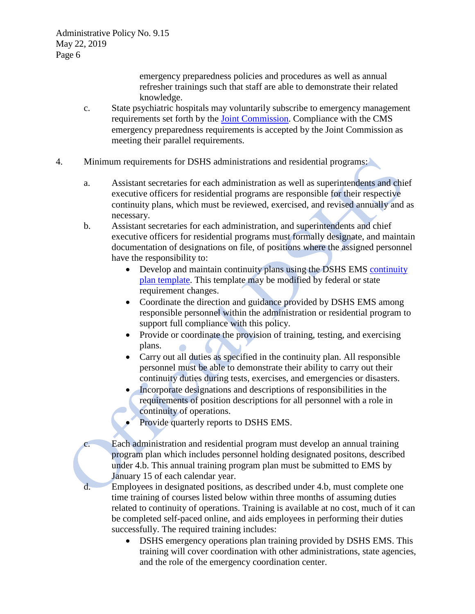emergency preparedness policies and procedures as well as annual refresher trainings such that staff are able to demonstrate their related knowledge.

- c. State psychiatric hospitals may voluntarily subscribe to emergency management requirements set forth by the [Joint Commission.](https://www.jointcommission.org/about_us/about_the_joint_commission_main.aspx) Compliance with the CMS emergency preparedness requirements is accepted by the Joint Commission as meeting their parallel requirements.
- 4. Minimum requirements for DSHS administrations and residential programs:
	- a. Assistant secretaries for each administration as well as superintendents and chief executive officers for residential programs are responsible for their respective continuity plans, which must be reviewed, exercised, and revised annually and as necessary.
	- b. Assistant secretaries for each administration, and superintendents and chief executive officers for residential programs must formally designate, and maintain documentation of designations on file, of positions where the assigned personnel have the responsibility to:
		- Develop and maintain [continuity](http://one.dshs.wa.lcl/EM/Continuity/Pages/default.aspx) plans using the DSHS EMS continuity [plan template.](http://one.dshs.wa.lcl/EM/Continuity/Pages/default.aspx) This template may be modified by federal or state requirement changes.
		- Coordinate the direction and guidance provided by DSHS EMS among responsible personnel within the administration or residential program to support full compliance with this policy.
		- Provide or coordinate the provision of training, testing, and exercising plans.
		- Carry out all duties as specified in the continuity plan. All responsible personnel must be able to demonstrate their ability to carry out their continuity duties during tests, exercises, and emergencies or disasters.
		- Incorporate designations and descriptions of responsibilities in the requirements of position descriptions for all personnel with a role in continuity of operations.
		- Provide quarterly reports to DSHS EMS.
	- c. Each administration and residential program must develop an annual training program plan which includes personnel holding designated positons, described under 4.b. This annual training program plan must be submitted to EMS by January 15 of each calendar year.
	- d. Employees in designated positions, as described under 4.b, must complete one time training of courses listed below within three months of assuming duties related to continuity of operations. Training is available at no cost, much of it can be completed self-paced online, and aids employees in performing their duties successfully. The required training includes:
		- DSHS emergency operations plan training provided by DSHS EMS. This training will cover coordination with other administrations, state agencies, and the role of the emergency coordination center.